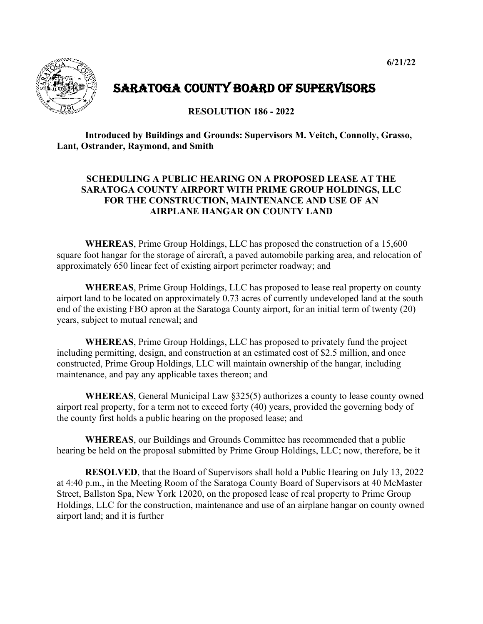

## SARATOGA COUNTY BOARD OF SUPERVISORS

**RESOLUTION 186 - 2022**

**Introduced by Buildings and Grounds: Supervisors M. Veitch, Connolly, Grasso, Lant, Ostrander, Raymond, and Smith**

## **SCHEDULING A PUBLIC HEARING ON A PROPOSED LEASE AT THE SARATOGA COUNTY AIRPORT WITH PRIME GROUP HOLDINGS, LLC FOR THE CONSTRUCTION, MAINTENANCE AND USE OF AN AIRPLANE HANGAR ON COUNTY LAND**

**WHEREAS**, Prime Group Holdings, LLC has proposed the construction of a 15,600 square foot hangar for the storage of aircraft, a paved automobile parking area, and relocation of approximately 650 linear feet of existing airport perimeter roadway; and

**WHEREAS**, Prime Group Holdings, LLC has proposed to lease real property on county airport land to be located on approximately 0.73 acres of currently undeveloped land at the south end of the existing FBO apron at the Saratoga County airport, for an initial term of twenty (20) years, subject to mutual renewal; and

**WHEREAS**, Prime Group Holdings, LLC has proposed to privately fund the project including permitting, design, and construction at an estimated cost of \$2.5 million, and once constructed, Prime Group Holdings, LLC will maintain ownership of the hangar, including maintenance, and pay any applicable taxes thereon; and

**WHEREAS**, General Municipal Law §325(5) authorizes a county to lease county owned airport real property, for a term not to exceed forty (40) years, provided the governing body of the county first holds a public hearing on the proposed lease; and

**WHEREAS**, our Buildings and Grounds Committee has recommended that a public hearing be held on the proposal submitted by Prime Group Holdings, LLC; now, therefore, be it

**RESOLVED**, that the Board of Supervisors shall hold a Public Hearing on July 13, 2022 at 4:40 p.m., in the Meeting Room of the Saratoga County Board of Supervisors at 40 McMaster Street, Ballston Spa, New York 12020, on the proposed lease of real property to Prime Group Holdings, LLC for the construction, maintenance and use of an airplane hangar on county owned airport land; and it is further